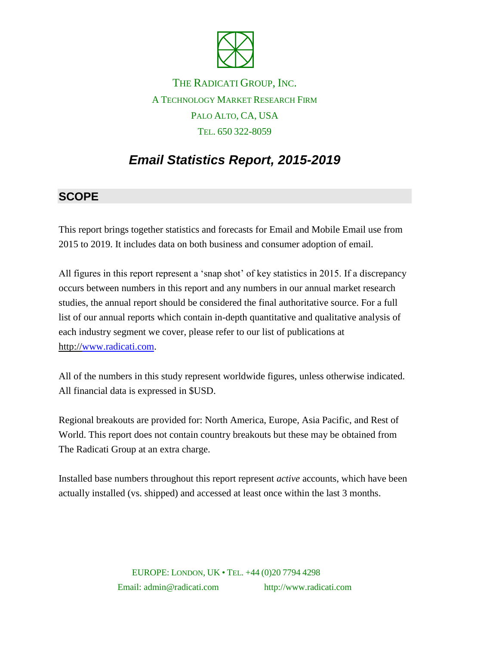

## THE RADICATI GROUP, INC. A TECHNOLOGY MARKET RESEARCH FIRM PALO ALTO, CA, USA TEL. 650 322-8059

# *Email Statistics Report, 2015-2019*

#### **SCOPE**

This report brings together statistics and forecasts for Email and Mobile Email use from 2015 to 2019. It includes data on both business and consumer adoption of email.

All figures in this report represent a 'snap shot' of key statistics in 2015. If a discrepancy occurs between numbers in this report and any numbers in our annual market research studies, the annual report should be considered the final authoritative source. For a full list of our annual reports which contain in-depth quantitative and qualitative analysis of each industry segment we cover, please refer to our list of publications at http:/[/www.radicati.com.](http://www.radicati.com/)

All of the numbers in this study represent worldwide figures, unless otherwise indicated. All financial data is expressed in \$USD.

Regional breakouts are provided for: North America, Europe, Asia Pacific, and Rest of World. This report does not contain country breakouts but these may be obtained from The Radicati Group at an extra charge.

Installed base numbers throughout this report represent *active* accounts, which have been actually installed (vs. shipped) and accessed at least once within the last 3 months.

> EUROPE: LONDON, UK • TEL. +44 (0)20 7794 4298 Email: admin@radicati.com http://www.radicati.com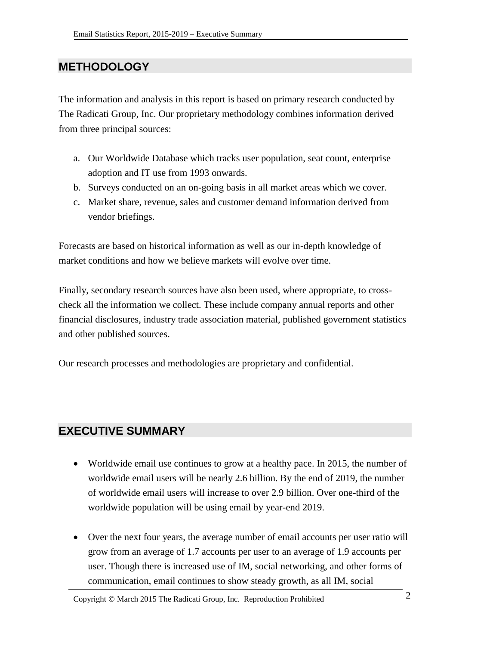#### **METHODOLOGY**

The information and analysis in this report is based on primary research conducted by The Radicati Group, Inc. Our proprietary methodology combines information derived from three principal sources:

- a. Our Worldwide Database which tracks user population, seat count, enterprise adoption and IT use from 1993 onwards.
- b. Surveys conducted on an on-going basis in all market areas which we cover.
- c. Market share, revenue, sales and customer demand information derived from vendor briefings.

Forecasts are based on historical information as well as our in-depth knowledge of market conditions and how we believe markets will evolve over time.

Finally, secondary research sources have also been used, where appropriate, to crosscheck all the information we collect. These include company annual reports and other financial disclosures, industry trade association material, published government statistics and other published sources.

Our research processes and methodologies are proprietary and confidential.

#### **EXECUTIVE SUMMARY**

- Worldwide email use continues to grow at a healthy pace. In 2015, the number of worldwide email users will be nearly 2.6 billion. By the end of 2019, the number of worldwide email users will increase to over 2.9 billion. Over one-third of the worldwide population will be using email by year-end 2019.
- Over the next four years, the average number of email accounts per user ratio will grow from an average of 1.7 accounts per user to an average of 1.9 accounts per user. Though there is increased use of IM, social networking, and other forms of communication, email continues to show steady growth, as all IM, social

Copyright  $\odot$  March 2015 The Radicati Group, Inc. Reproduction Prohibited 2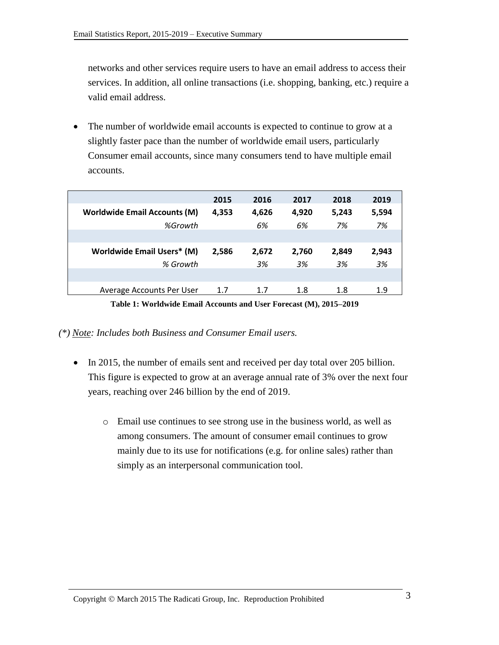networks and other services require users to have an email address to access their services. In addition, all online transactions (i.e. shopping, banking, etc.) require a valid email address.

• The number of worldwide email accounts is expected to continue to grow at a slightly faster pace than the number of worldwide email users, particularly Consumer email accounts, since many consumers tend to have multiple email accounts.

|                                     | 2015  | 2016  | 2017  | 2018  | 2019  |
|-------------------------------------|-------|-------|-------|-------|-------|
| <b>Worldwide Email Accounts (M)</b> | 4,353 | 4,626 | 4,920 | 5,243 | 5,594 |
| %Growth                             |       | 6%    | 6%    | 7%    | 7%    |
|                                     |       |       |       |       |       |
| <b>Worldwide Email Users* (M)</b>   | 2,586 | 2,672 | 2,760 | 2,849 | 2,943 |
| % Growth                            |       | 3%    | 3%    | 3%    | 3%    |
|                                     |       |       |       |       |       |
| Average Accounts Per User           | 1.7   | 1.7   | 1.8   | 1.8   | 1.9   |

**Table 1: Worldwide Email Accounts and User Forecast (M), 2015–2019**

*(\*) Note: Includes both Business and Consumer Email users.*

- In 2015, the number of emails sent and received per day total over 205 billion. This figure is expected to grow at an average annual rate of 3% over the next four years, reaching over 246 billion by the end of 2019.
	- o Email use continues to see strong use in the business world, as well as among consumers. The amount of consumer email continues to grow mainly due to its use for notifications (e.g. for online sales) rather than simply as an interpersonal communication tool.